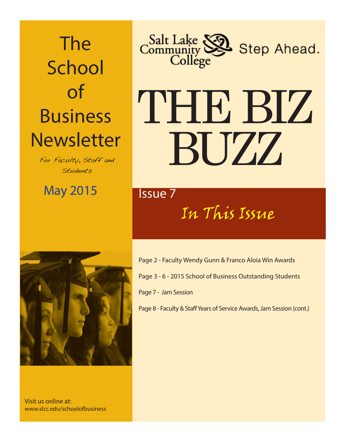## The **School** of Business **Newsletter**

For Faculty, Staff and Students

May 2015 **Issue 7** 



# THE BIZ BUZZ

## In This Issue



Visit us online at: www.slcc.edu/schoolofbusiness Page 2 - Faculty Wendy Gunn & Franco Aloia Win Awards Page 3 - 6 - 2015 School of Business Outstanding Students Page 7 - Jam Session

Page 8 - Faculty & Staff Years of Service Awards, Jam Session (cont.)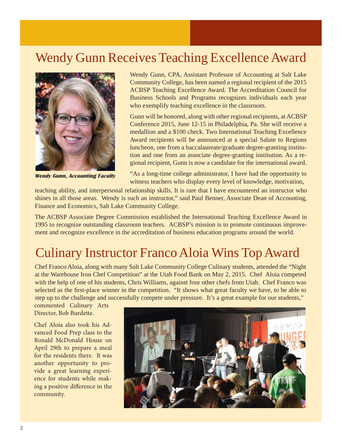## Wendy Gunn Receives Teaching Excellence Award



**Wendy Gunn, Accounting Faculty**

Wendy Gunn, CPA, Assistant Professor of Accounting at Salt Lake Community College, has been named a regional recipient of the 2015 ACBSP Teaching Excellence Award. The Accreditation Council for Business Schools and Programs recognizes individuals each year who exemplify teaching excellence in the classroom.

Gunn will be honored, along with other regional recipients, at ACBSP Conference 2015, June 12-15 in Philadelphia, Pa. She will receive a medallion and a \$100 check. Two International Teaching Excellence Award recipients will be announced at a special Salute to Regions luncheon, one from a baccalaureate/graduate degree-granting institution and one from an associate degree-granting institution. As a regional recipient, Gunn is now a candidate for the international award.

"As a long-time college administrator, I have had the opportunity to witness teachers who display every level of knowledge, motivation,

teaching ability, and interpersonal relationship skills. It is rare that I have encountered an instructor who shines in all those areas. Wendy is such an instructor," said Paul Benner, Associate Dean of Accounting, Finance and Economics, Salt Lake Community College.

The ACBSP Associate Degree Commission established the International Teaching Excellence Award in 1995 to recognize outstanding classroom teachers. ACBSP's mission is to promote continuous improvement and recognize excellence in the accreditation of business education programs around the world.

## Culinary Instructor Franco Aloia Wins Top Award

Chef Franco Aloia, along with many Salt Lake Community College Culinary students, attended the "Night at the Warehouse Iron Chef Competition" at the Utah Food Bank on May 2, 2015. Chef Aloia competed with the help of one of his students, Chris Williams, against four other chefs from Utah. Chef Franco was selected as the first-place winner in the competition. "It shows what great faculty we have, to be able to step up to the challenge and successfully compete under pressure. It's a great example for our students,"

commented Culinary Arts Director, Bob Burdette.

Chef Aloia also took his Advanced Food Prep class to the Ronald McDonald House on April 29th to prepare a meal for the residents there. It was another opportunity to provide a great learning experience for students while making a positive difference in the community.

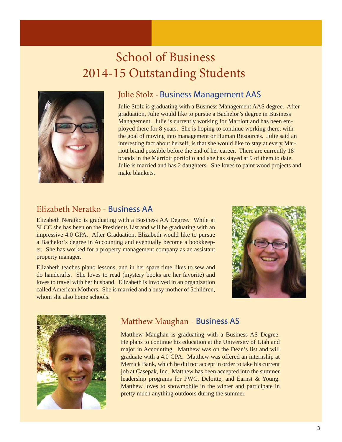## School of Business 2014-15 Outstanding Students



#### Julie Stolz - Business Management AAS

Julie Stolz is graduating with a Business Management AAS degree. After graduation, Julie would like to pursue a Bachelor's degree in Business Management. Julie is currently working for Marriott and has been employed there for 8 years. She is hoping to continue working there, with the goal of moving into management or Human Resources. Julie said an interesting fact about herself, is that she would like to stay at every Marriott brand possible before the end of her career. There are currently 18 brands in the Marriott portfolio and she has stayed at 9 of them to date. Julie is married and has 2 daughters. She loves to paint wood projects and make blankets.

#### Elizabeth Neratko - **Business AA**

Elizabeth Neratko is graduating with a Business AA Degree. While at SLCC she has been on the Presidents List and will be graduating with an impressive 4.0 GPA. After Graduation, Elizabeth would like to pursue a Bachelor's degree in Accounting and eventually become a bookkeeper. She has worked for a property management company as an assistant property manager.

Elizabeth teaches piano lessons, and in her spare time likes to sew and do handcrafts. She loves to read (mystery books are her favorite) and loves to travel with her husband. Elizabeth is involved in an organization called American Mothers. She is married and a busy mother of 5children, whom she also home schools.





#### Matthew Maughan - Business AS

Matthew Maughan is graduating with a Business AS Degree. He plans to continue his education at the University of Utah and major in Accounting. Matthew was on the Dean's list and will graduate with a 4.0 GPA. Matthew was offered an internship at Merrick Bank, which he did not accept in order to take his current job at Casepak, Inc. Matthew has been accepted into the summer leadership programs for PWC, Deloitte, and Earnst & Young. Matthew loves to snowmobile in the winter and participate in pretty much anything outdoors during the summer.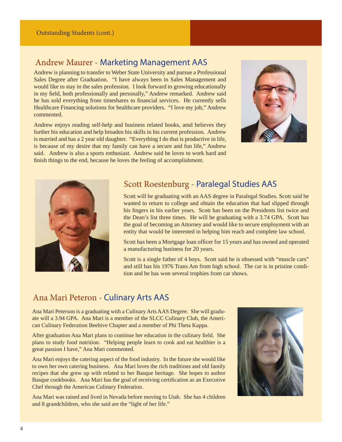#### Andrew Maurer - Marketing Management AAS

Andrew is planning to transfer to Weber State University and pursue a Professional Sales Degree after Graduation. "I have always been in Sales Management and would like to stay in the sales profession. I look forward to growing educationally in my field, both professionally and personally," Andrew remarked. Andrew said he has sold everything from timeshares to financial services. He currently sells Healthcare Financing solutions for healthcare providers. "I love my job," Andrew commented.

Andrew enjoys reading self-help and business related books, amd believes they further his education and help broaden his skills in his current profession. Andrew is married and has a 2 year old daughter. "Everything I do that is productive in life, is because of my desire that my family can have a secure and fun life," Andrew said. Andrew is also a sports enthusiast. Andrew said he loves to work hard and finish things to the end, because he loves the feeling of accomplishment.





#### Scott Roestenburg - Paralegal Studies AAS

Scott will be graduating with an AAS degree in Paralegal Studies. Scott said he wanted to return to college and obtain the education that had slipped through his fingers in his earlier years. Scott has been on the Presidents list twice and the Dean's list three times. He will be graduating with a 3.74 GPA. Scott has the goal of becoming an Attorney and would like to secure employment with an entity that would be interested in helping him reach and complete law school.

Scott has been a Mortgage loan officer for 15 years and has owned and operated a manufacturing business for 20 years.

Scott is a single father of 4 boys. Scott said he is obsessed with "muscle cars" and still has his 1976 Trans Am from high school. The car is in pristine condition and he has won several trophies from car shows.

#### Ana Mari Peteron - Culinary Arts AAS

Ana Mari Peterson is a graduating with a Culinary Arts AAS Degree. She will graduate will a 3.94 GPA. Ana Mari is a member of the SLCC Culinary Club, the American Culinary Federation Beehive Chapter and a member of Phi Theta Kappa.

After graduation Ana Mari plans to continue her education in the culinary field. She plans to study food nutrition. "Helping people learn to cook and eat healthier is a great passion I have," Ana Mari commented.

Ana Mari enjoys the catering aspect of the food industry. In the future she would like to own her own catering business. Ana Mari loves the rich traditions and old family recipes that she grew up with related to her Basque heritage. She hopes to author Basque cookbooks. Ana Mari has the goal of receiving certification as an Executive Chef through the American Culinary Federation.

Ana Mari was raised and lived in Nevada before moving to Utah. She has 4 children and 8 grandchildren, who she said are the "light of her life."

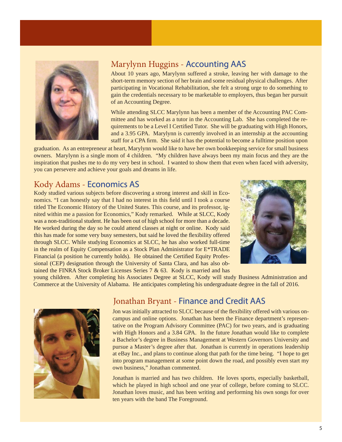

#### Marylynn Huggins - Accounting AAS

About 10 years ago, Marylynn suffered a stroke, leaving her with damage to the short-term memory section of her brain and some residual physical challenges. After participating in Vocational Rehabilitation, she felt a strong urge to do something to gain the credentials necessary to be marketable to employers, thus began her pursuit of an Accounting Degree.

While attending SLCC Marylynn has been a member of the Accounting PAC Committee and has worked as a tutor in the Accounting Lab. She has completed the requirements to be a Level I Certified Tutor. She will be graduating with High Honors, and a 3.95 GPA. Marylynn is currently involved in an internship at the accounting staff for a CPA firm. She said it has the potential to become a fulltime position upon

graduation. As an entrepreneur at heart, Marylynn would like to have her own bookkeeping service for small business owners. Marylynn is a single mom of 4 children. "My children have always been my main focus and they are the inspiration that pushes me to do my very best in school. I wanted to show them that even when faced with adversity, you can persevere and achieve your goals and dreams in life.

#### Kody Adams - Economics AS

Kody studied various subjects before discovering a strong interest and skill in Economics. "I can honestly say that I had no interest in this field until I took a course titled The Economic History of the United States. This course, and its professor, ignited within me a passion for Economics," Kody remarked. While at SLCC, Kody was a non-traditional student. He has been out of high school for more than a decade. He worked during the day so he could attend classes at night or online. Kody said this has made for some very busy semesters, but said he loved the flexibility offered through SLCC. While studying Economics at SLCC, he has also worked full-time in the realm of Equity Compensation as a Stock Plan Administrator for  $E^*$ TRADE Financial (a position he currently holds). He obtained the Certified Equity Professional (CEP) designation through the University of Santa Clara, and has also obtained the FINRA Stock Broker Licenses Series 7 & 63. Kody is married and has



young children. After completing his Associates Degree at SLCC, Kody will study Business Administration and Commerce at the University of Alabama. He anticipates completing his undergraduate degree in the fall of 2016.



#### Jonathan Bryant - Finance and Credit AAS

Jon was initially attracted to SLCC because of the flexibility offered with various oncampus and online options. Jonathan has been the Finance department's representative on the Program Advisory Committee (PAC) for two years, and is graduating with High Honors and a 3.84 GPA. In the future Jonathan would like to complete a Bachelor's degree in Business Management at Western Governors University and pursue a Master's degree after that. Jonathan is currently in operations leadership at eBay Inc., and plans to continue along that path for the time being. "I hope to get into program management at some point down the road, and possibly even start my own business," Jonathan commented.

Jonathan is married and has two children. He loves sports, especially basketball, which he played in high school and one year of college, before coming to SLCC. Jonathan loves music, and has been writing and performing his own songs for over ten years with the band The Foreground.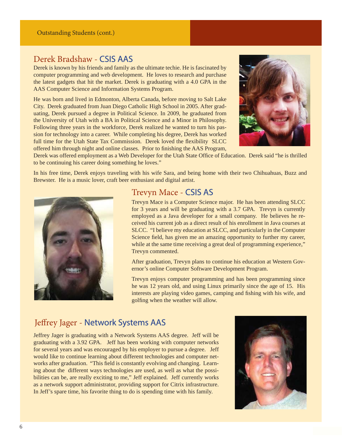#### Outstanding Students (cont.)

#### Derek Bradshaw - CSIS AAS

Derek is known by his friends and family as the ultimate techie. He is fascinated by computer programming and web development. He loves to research and purchase the latest gadgets that hit the market. Derek is graduating with a 4.0 GPA in the AAS Computer Science and Information Systems Program.

He was born and lived in Edmonton, Alberta Canada, before moving to Salt Lake City. Derek graduated from Juan Diego Catholic High School in 2005. After graduating, Derek pursued a degree in Political Science. In 2009, he graduated from the University of Utah with a BA in Political Science and a Minor in Philosophy. Following three years in the workforce, Derek realized he wanted to turn his passion for technology into a career. While completing his degree, Derek has worked full time for the Utah State Tax Commission. Derek loved the flexibility SLCC offered him through night and online classes. Prior to finishing the AAS Program,



Derek was offered employment as a Web Developer for the Utah State Office of Education. Derek said "he is thrilled to be continuing his career doing something he loves."

In his free time, Derek enjoys traveling with his wife Sara, and being home with their two Chihuahuas, Buzz and Brewster. He is a music lover, craft beer enthusiast and digital artist.



#### Trevyn Mace - CSIS AS

Trevyn Mace is a Computer Science major. He has been attending SLCC for 3 years and will be graduating with a 3.7 GPA. Trevyn is currently employed as a Java developer for a small company. He believes he received his current job as a direct result of his enrollment in Java courses at SLCC. "I believe my education at SLCC, and particularly in the Computer Science field, has given me an amazing opportunity to further my career, while at the same time receiving a great deal of programming experience," Trevyn commented.

After graduation, Trevyn plans to continue his education at Western Governor's online Computer Software Development Program.

Trevyn enjoys computer programming and has been programming since he was 12 years old, and using Linux primarily since the age of 15. His interests are playing video games, camping and fishing with his wife, and golfing when the weather will allow.

#### Jeffrey Jager - Network Systems AAS

Jeffrey Jager is graduating with a Network Systems AAS degree. Jeff will be graduating with a 3.92 GPA. Jeff has been working with computer networks for several years and was encouraged by his employer to pursue a degree. Jeff would like to continue learning about different technologies and computer networks after graduation. "This field is constantly evolving and changing. Learning about the different ways technologies are used, as well as what the possibilities can be, are really exciting to me," Jeff explained. Jeff currently works as a network support administrator, providing support for Citrix infrastructure. In Jeff's spare time, his favorite thing to do is spending time with his family.

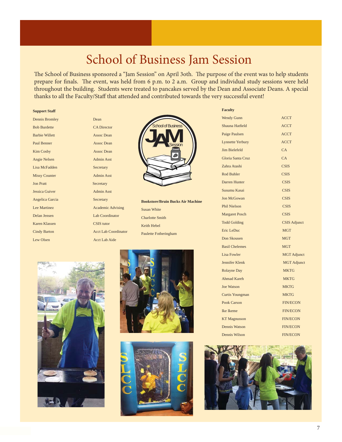### School of Business Jam Session

The School of Business sponsored a "Jam Session" on April 3oth. The purpose of the event was to help students prepare for finals. The event, was held from 6 p.m. to 2 a.m. Group and individual study sessions were held throughout the building. Students were treated to pancakes served by the Dean and Associate Deans. A special thanks to all the Faculty/Staff that attended and contributed towards the very successful event!

#### **Support Staff**

| <b>Dennis Bromley</b> | Dean                        |
|-----------------------|-----------------------------|
| <b>Bob Burdette</b>   | <b>CA Director</b>          |
| <b>Barbie Willett</b> | Assoc Dean                  |
| <b>Paul Benner</b>    | <b>Assoc Dean</b>           |
| <b>Kim Cosby</b>      | Assoc Dean                  |
| <b>Angie Nelsen</b>   | Admin Asst                  |
| Lisa McFadden         | Secretary                   |
| <b>Missy Counter</b>  | <b>Admin Asst</b>           |
| <b>Jon Pratt</b>      | Secretary                   |
| Jessica Guiver        | <b>Admin Asst</b>           |
| Angelica Garcia       | Secretary                   |
| <b>Lee Martinez</b>   | <b>Academic Advising</b>    |
| Delan Jensen          | <b>Lab Coordinator</b>      |
| Karen Klassen         | <b>CSIS</b> tutor           |
| <b>Cindy Barton</b>   | <b>Acct Lab Coordinator</b> |
| <b>Lew Olsen</b>      | <b>Acct Lab Aide</b>        |

| Dean                                                    |
|---------------------------------------------------------|
| <b>CA Director</b>                                      |
| <b>Assoc Dean</b>                                       |
| <b>Assoc Dean</b>                                       |
| <b>Assoc Dean</b>                                       |
| <b>Admin Asst</b>                                       |
| Secretary                                               |
| <b>Admin Asst</b>                                       |
| Secretary                                               |
| <b>Admin Asst</b>                                       |
| Secretary                                               |
| <b>Academic Advising</b>                                |
| <b>Lab Coordinator</b>                                  |
| <b>CSIS</b> tutor                                       |
| <b>Acct Lab Coordinator</b>                             |
| $\cdot$ $\cdot$ $\cdot$ $\cdot$ $\cdot$ $\cdot$ $\cdot$ |



**Bookstore/Bruin Bucks Air Machine** Susan White Charlotte Smith Keith Hebel Paulette Fotheringham







#### **Faculty**

| <b>Wendy Gunn</b>       | <b>ACCT</b>         |
|-------------------------|---------------------|
| Shauna Hatfield         | <b>ACCT</b>         |
| Paige Paulsen           | <b>ACCT</b>         |
| <b>Lynnette Yerbury</b> | <b>ACCT</b>         |
| <b>Jim Bielefeld</b>    | CA                  |
| Gloria Santa Cruz       | CA                  |
| Zahra Atashi            | <b>CSIS</b>         |
| <b>Rod Buhler</b>       | <b>CSIS</b>         |
| Darren Hunter           | <b>CSIS</b>         |
| Susumu Kasai            | <b>CSIS</b>         |
| <b>Jon McGowan</b>      | <b>CSIS</b>         |
| <b>Phil Nielson</b>     | <b>CSIS</b>         |
| <b>Margaret Posch</b>   | <b>CSIS</b>         |
| <b>Todd Golding</b>     | <b>CSIS Adjunct</b> |
| Eric LeDuc              | <b>MGT</b>          |
| Don Skousen             | <b>MGT</b>          |
| <b>Basil Chelemes</b>   | <b>MGT</b>          |
| <b>Lisa Fowler</b>      | <b>MGT</b> Adjunct  |
| Jennifer Klenk          | <b>MGT</b> Adjunct  |
| <b>Rolayne Day</b>      | <b>MKTG</b>         |
| <b>Ahmad Kareh</b>      | <b>MKTG</b>         |
| <b>Joe Watson</b>       | <b>MKTG</b>         |
| <b>Curtis Youngman</b>  | <b>MKTG</b>         |
| <b>Pook Carson</b>      | <b>FIN/ECON</b>     |
| Ike Ikeme               | <b>FIN/ECON</b>     |
| <b>KT Magnusson</b>     | <b>FIN/ECON</b>     |
| <b>Dennis Watson</b>    | <b>FIN/ECON</b>     |
| <b>Dennis Wilson</b>    | <b>FIN/ECON</b>     |